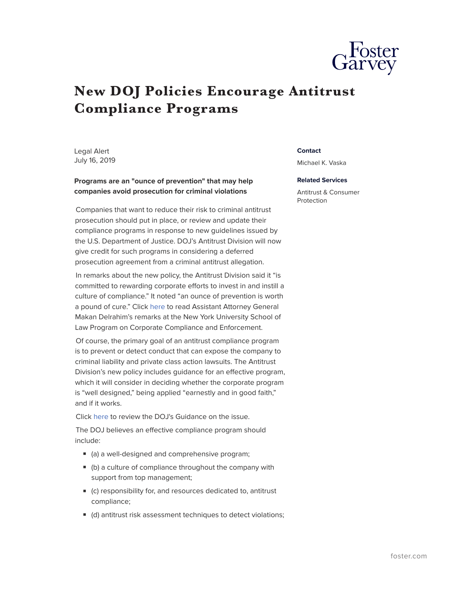

## **New DOJ Policies Encourage Antitrust Compliance Programs**

Legal Alert July 16, 2019

## **Programs are an "ounce of prevention" that may help companies avoid prosecution for criminal violations**

Companies that want to reduce their risk to criminal antitrust prosecution should put in place, or review and update their compliance programs in response to new guidelines issued by the U.S. Department of Justice. DOJ's Antitrust Division will now give credit for such programs in considering a deferred prosecution agreement from a criminal antitrust allegation.

In remarks about the new policy, the Antitrust Division said it "is committed to rewarding corporate efforts to invest in and instill a culture of compliance." It noted "an ounce of prevention is worth a pound of cure." Click [here](https://www.justice.gov/opa/speech/assistant-attorney-general-makan-delrahim-delivers-remarks-new-york-university-school-l-0) to read Assistant Attorney General Makan Delrahim's remarks at the New York University School of Law Program on Corporate Compliance and Enforcement.

Of course, the primary goal of an antitrust compliance program is to prevent or detect conduct that can expose the company to criminal liability and private class action lawsuits. The Antitrust Division's new policy includes guidance for an effective program, which it will consider in deciding whether the corporate program is "well designed," being applied "earnestly and in good faith," and if it works.

Click [here](https://www.justice.gov/atr/page/file/1182001/download) to review the DOJ's Guidance on the issue.

The DOJ believes an effective compliance program should include:

- (a) a well-designed and comprehensive program;
- (b) a culture of compliance throughout the company with support from top management;
- (c) responsibility for, and resources dedicated to, antitrust compliance;
- (d) antitrust risk assessment techniques to detect violations;

## **Contact**

Michael K. Vaska

## **Related Services**

Antitrust & Consumer Protection